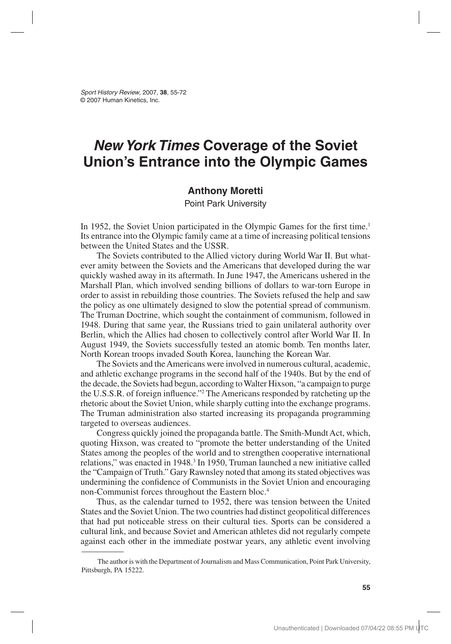*Sport History Review*, 2007, **38**, 55-72 © 2007 Human Kinetics, Inc.

# *New York Times* **Coverage of the Soviet Union's Entrance into the Olympic Games**

### **Anthony Moretti**

Point Park University

In 1952, the Soviet Union participated in the Olympic Games for the first time.<sup>1</sup> Its entrance into the Olympic family came at a time of increasing political tensions between the United States and the USSR.

The Soviets contributed to the Allied victory during World War II. But whatever amity between the Soviets and the Americans that developed during the war quickly washed away in its aftermath. In June 1947, the Americans ushered in the Marshall Plan, which involved sending billions of dollars to war-torn Europe in order to assist in rebuilding those countries. The Soviets refused the help and saw the policy as one ultimately designed to slow the potential spread of communism. The Truman Doctrine, which sought the containment of communism, followed in 1948. During that same year, the Russians tried to gain unilateral authority over Berlin, which the Allies had chosen to collectively control after World War II. In August 1949, the Soviets successfully tested an atomic bomb. Ten months later, North Korean troops invaded South Korea, launching the Korean War.

The Soviets and the Americans were involved in numerous cultural, academic, and athletic exchange programs in the second half of the 1940s. But by the end of the decade, the Soviets had begun, according to Walter Hixson, "a campaign to purge the U.S.S.R. of foreign influence."2 The Americans responded by ratcheting up the rhetoric about the Soviet Union, while sharply cutting into the exchange programs. The Truman administration also started increasing its propaganda programming targeted to overseas audiences.

Congress quickly joined the propaganda battle. The Smith-Mundt Act, which, quoting Hixson, was created to "promote the better understanding of the United States among the peoples of the world and to strengthen cooperative international relations," was enacted in 1948.<sup>3</sup> In 1950, Truman launched a new initiative called the "Campaign of Truth." Gary Rawnsley noted that among its stated objectives was undermining the confidence of Communists in the Soviet Union and encouraging non-Communist forces throughout the Eastern bloc.4

Thus, as the calendar turned to 1952, there was tension between the United States and the Soviet Union. The two countries had distinct geopolitical differences that had put noticeable stress on their cultural ties. Sports can be considered a cultural link, and because Soviet and American athletes did not regularly compete against each other in the immediate postwar years, any athletic event involving

The author is with the Department of Journalism and Mass Communication, Point Park University, Pittsburgh, PA 15222.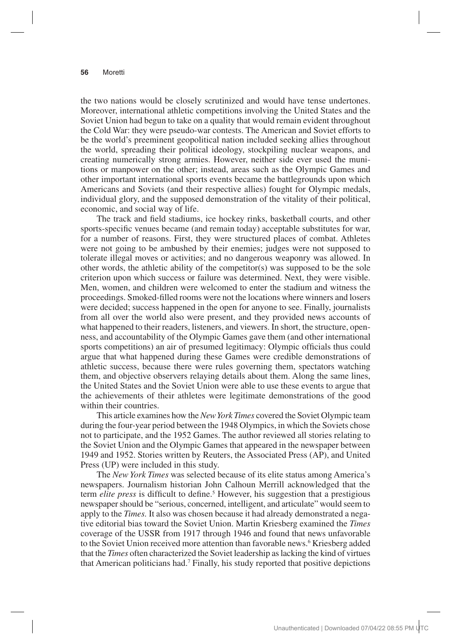the two nations would be closely scrutinized and would have tense undertones. Moreover, international athletic competitions involving the United States and the Soviet Union had begun to take on a quality that would remain evident throughout the Cold War: they were pseudo-war contests. The American and Soviet efforts to be the world's preeminent geopolitical nation included seeking allies throughout the world, spreading their political ideology, stockpiling nuclear weapons, and creating numerically strong armies. However, neither side ever used the munitions or manpower on the other; instead, areas such as the Olympic Games and other important international sports events became the battlegrounds upon which Americans and Soviets (and their respective allies) fought for Olympic medals, individual glory, and the supposed demonstration of the vitality of their political, economic, and social way of life.

The track and field stadiums, ice hockey rinks, basketball courts, and other sports-specific venues became (and remain today) acceptable substitutes for war, for a number of reasons. First, they were structured places of combat. Athletes were not going to be ambushed by their enemies; judges were not supposed to tolerate illegal moves or activities; and no dangerous weaponry was allowed. In other words, the athletic ability of the competitor(s) was supposed to be the sole criterion upon which success or failure was determined. Next, they were visible. Men, women, and children were welcomed to enter the stadium and witness the proceedings. Smoked-filled rooms were not the locations where winners and losers were decided; success happened in the open for anyone to see. Finally, journalists from all over the world also were present, and they provided news accounts of what happened to their readers, listeners, and viewers. In short, the structure, openness, and accountability of the Olympic Games gave them (and other international sports competitions) an air of presumed legitimacy: Olympic officials thus could argue that what happened during these Games were credible demonstrations of athletic success, because there were rules governing them, spectators watching them, and objective observers relaying details about them. Along the same lines, the United States and the Soviet Union were able to use these events to argue that the achievements of their athletes were legitimate demonstrations of the good within their countries.

This article examines how the *New York Times* covered the Soviet Olympic team during the four-year period between the 1948 Olympics, in which the Soviets chose not to participate, and the 1952 Games. The author reviewed all stories relating to the Soviet Union and the Olympic Games that appeared in the newspaper between 1949 and 1952. Stories written by Reuters, the Associated Press (AP), and United Press (UP) were included in this study.

The *New York Times* was selected because of its elite status among America's newspapers. Journalism historian John Calhoun Merrill acknowledged that the term *elite press* is difficult to define.<sup>5</sup> However, his suggestion that a prestigious newspaper should be "serious, concerned, intelligent, and articulate" would seem to apply to the *Times.* It also was chosen because it had already demonstrated a negative editorial bias toward the Soviet Union. Martin Kriesberg examined the *Times*  coverage of the USSR from 1917 through 1946 and found that news unfavorable to the Soviet Union received more attention than favorable news.<sup>6</sup> Kriesberg added that the *Times* often characterized the Soviet leadership as lacking the kind of virtues that American politicians had.7 Finally, his study reported that positive depictions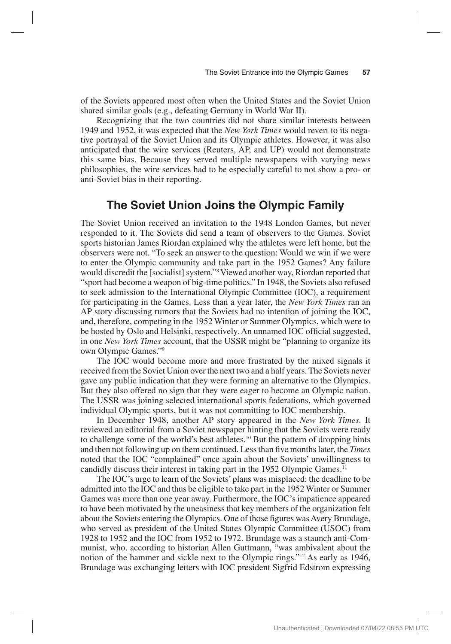of the Soviets appeared most often when the United States and the Soviet Union shared similar goals (e.g., defeating Germany in World War II).

Recognizing that the two countries did not share similar interests between 1949 and 1952, it was expected that the *New York Times* would revert to its negative portrayal of the Soviet Union and its Olympic athletes. However, it was also anticipated that the wire services (Reuters, AP, and UP) would not demonstrate this same bias. Because they served multiple newspapers with varying news philosophies, the wire services had to be especially careful to not show a pro- or anti-Soviet bias in their reporting.

### **The Soviet Union Joins the Olympic Family**

The Soviet Union received an invitation to the 1948 London Games, but never responded to it. The Soviets did send a team of observers to the Games. Soviet sports historian James Riordan explained why the athletes were left home, but the observers were not. "To seek an answer to the question: Would we win if we were to enter the Olympic community and take part in the 1952 Games? Any failure would discredit the [socialist] system."8 Viewed another way, Riordan reported that "sport had become a weapon of big-time politics." In 1948, the Soviets also refused to seek admission to the International Olympic Committee (IOC), a requirement for participating in the Games. Less than a year later, the *New York Times* ran an AP story discussing rumors that the Soviets had no intention of joining the IOC, and, therefore, competing in the 1952 Winter or Summer Olympics, which were to be hosted by Oslo and Helsinki, respectively. An unnamed IOC official suggested, in one *New York Times* account, that the USSR might be "planning to organize its own Olympic Games."9

The IOC would become more and more frustrated by the mixed signals it received from the Soviet Union over the next two and a half years. The Soviets never gave any public indication that they were forming an alternative to the Olympics. But they also offered no sign that they were eager to become an Olympic nation. The USSR was joining selected international sports federations, which governed individual Olympic sports, but it was not committing to IOC membership.

In December 1948, another AP story appeared in the *New York Times.* It reviewed an editorial from a Soviet newspaper hinting that the Soviets were ready to challenge some of the world's best athletes.10 But the pattern of dropping hints and then not following up on them continued. Less than five months later, the *Times*  noted that the IOC "complained" once again about the Soviets' unwillingness to candidly discuss their interest in taking part in the 1952 Olympic Games.<sup>11</sup>

The IOC's urge to learn of the Soviets' plans was misplaced: the deadline to be admitted into the IOC and thus be eligible to take part in the 1952 Winter or Summer Games was more than one year away. Furthermore, the IOC's impatience appeared to have been motivated by the uneasiness that key members of the organization felt about the Soviets entering the Olympics. One of those figures was Avery Brundage, who served as president of the United States Olympic Committee (USOC) from 1928 to 1952 and the IOC from 1952 to 1972. Brundage was a staunch anti-Communist, who, according to historian Allen Guttmann, "was ambivalent about the notion of the hammer and sickle next to the Olympic rings."12 As early as 1946, Brundage was exchanging letters with IOC president Sigfrid Edstrom expressing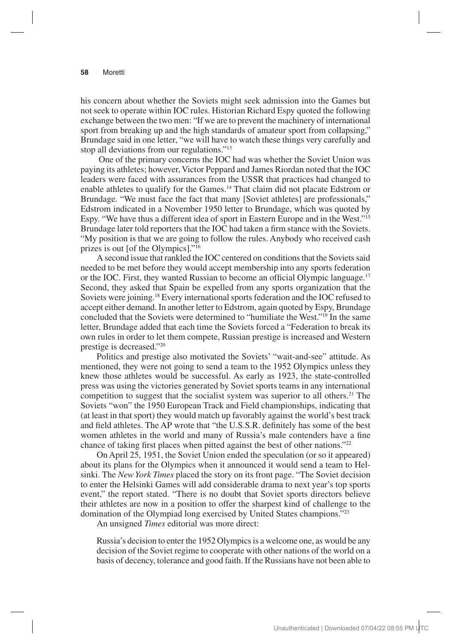his concern about whether the Soviets might seek admission into the Games but not seek to operate within IOC rules. Historian Richard Espy quoted the following exchange between the two men: "If we are to prevent the machinery of international sport from breaking up and the high standards of amateur sport from collapsing," Brundage said in one letter, "we will have to watch these things very carefully and stop all deviations from our regulations."13

 One of the primary concerns the IOC had was whether the Soviet Union was paying its athletes; however, Victor Peppard and James Riordan noted that the IOC leaders were faced with assurances from the USSR that practices had changed to enable athletes to qualify for the Games.14 That claim did not placate Edstrom or Brundage. "We must face the fact that many [Soviet athletes] are professionals," Edstrom indicated in a November 1950 letter to Brundage, which was quoted by Espy. "We have thus a different idea of sport in Eastern Europe and in the West."<sup>15</sup> Brundage later told reporters that the IOC had taken a firm stance with the Soviets. "My position is that we are going to follow the rules. Anybody who received cash prizes is out [of the Olympics]."16

A second issue that rankled the IOC centered on conditions that the Soviets said needed to be met before they would accept membership into any sports federation or the IOC. First, they wanted Russian to become an official Olympic language.<sup>17</sup> Second, they asked that Spain be expelled from any sports organization that the Soviets were joining.18 Every international sports federation and the IOC refused to accept either demand. In another letter to Edstrom, again quoted by Espy, Brundage concluded that the Soviets were determined to "humiliate the West."19 In the same letter, Brundage added that each time the Soviets forced a "Federation to break its own rules in order to let them compete, Russian prestige is increased and Western prestige is decreased."20

Politics and prestige also motivated the Soviets' "wait-and-see" attitude. As mentioned, they were not going to send a team to the 1952 Olympics unless they knew those athletes would be successful. As early as 1923, the state-controlled press was using the victories generated by Soviet sports teams in any international competition to suggest that the socialist system was superior to all others.<sup>21</sup> The Soviets "won" the 1950 European Track and Field championships, indicating that (at least in that sport) they would match up favorably against the world's best track and field athletes. The AP wrote that "the U.S.S.R. definitely has some of the best women athletes in the world and many of Russia's male contenders have a fine chance of taking first places when pitted against the best of other nations."22

On April 25, 1951, the Soviet Union ended the speculation (or so it appeared) about its plans for the Olympics when it announced it would send a team to Helsinki. The *New York Times* placed the story on its front page. "The Soviet decision to enter the Helsinki Games will add considerable drama to next year's top sports event," the report stated. "There is no doubt that Soviet sports directors believe their athletes are now in a position to offer the sharpest kind of challenge to the domination of the Olympiad long exercised by United States champions."23

An unsigned *Times* editorial was more direct:

Russia's decision to enter the 1952 Olympics is a welcome one, as would be any decision of the Soviet regime to cooperate with other nations of the world on a basis of decency, tolerance and good faith. If the Russians have not been able to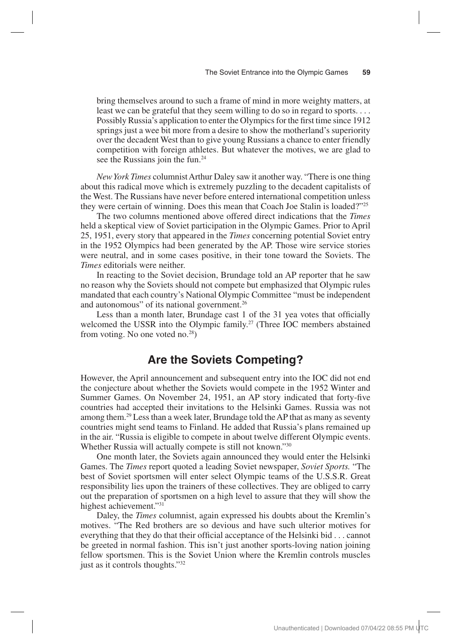bring themselves around to such a frame of mind in more weighty matters, at least we can be grateful that they seem willing to do so in regard to sports. . . . Possibly Russia's application to enter the Olympics for the first time since 1912 springs just a wee bit more from a desire to show the motherland's superiority over the decadent West than to give young Russians a chance to enter friendly competition with foreign athletes. But whatever the motives, we are glad to see the Russians join the fun.<sup>24</sup>

*New York Times* columnist Arthur Daley saw it another way. "There is one thing about this radical move which is extremely puzzling to the decadent capitalists of the West. The Russians have never before entered international competition unless they were certain of winning. Does this mean that Coach Joe Stalin is loaded?"25

The two columns mentioned above offered direct indications that the *Times*  held a skeptical view of Soviet participation in the Olympic Games. Prior to April 25, 1951, every story that appeared in the *Times* concerning potential Soviet entry in the 1952 Olympics had been generated by the AP. Those wire service stories were neutral, and in some cases positive, in their tone toward the Soviets. The *Times* editorials were neither.

In reacting to the Soviet decision, Brundage told an AP reporter that he saw no reason why the Soviets should not compete but emphasized that Olympic rules mandated that each country's National Olympic Committee "must be independent and autonomous" of its national government.26

Less than a month later, Brundage cast 1 of the 31 yea votes that officially welcomed the USSR into the Olympic family.<sup>27</sup> (Three IOC members abstained from voting. No one voted no.28)

### **Are the Soviets Competing?**

However, the April announcement and subsequent entry into the IOC did not end the conjecture about whether the Soviets would compete in the 1952 Winter and Summer Games. On November 24, 1951, an AP story indicated that forty-five countries had accepted their invitations to the Helsinki Games. Russia was not among them.29 Less than a week later, Brundage told the AP that as many as seventy countries might send teams to Finland. He added that Russia's plans remained up in the air. "Russia is eligible to compete in about twelve different Olympic events. Whether Russia will actually compete is still not known."30

One month later, the Soviets again announced they would enter the Helsinki Games. The *Times* report quoted a leading Soviet newspaper, *Soviet Sports.* "The best of Soviet sportsmen will enter select Olympic teams of the U.S.S.R. Great responsibility lies upon the trainers of these collectives. They are obliged to carry out the preparation of sportsmen on a high level to assure that they will show the highest achievement."31

Daley, the *Times* columnist, again expressed his doubts about the Kremlin's motives. "The Red brothers are so devious and have such ulterior motives for everything that they do that their official acceptance of the Helsinki bid . . . cannot be greeted in normal fashion. This isn't just another sports-loving nation joining fellow sportsmen. This is the Soviet Union where the Kremlin controls muscles just as it controls thoughts."32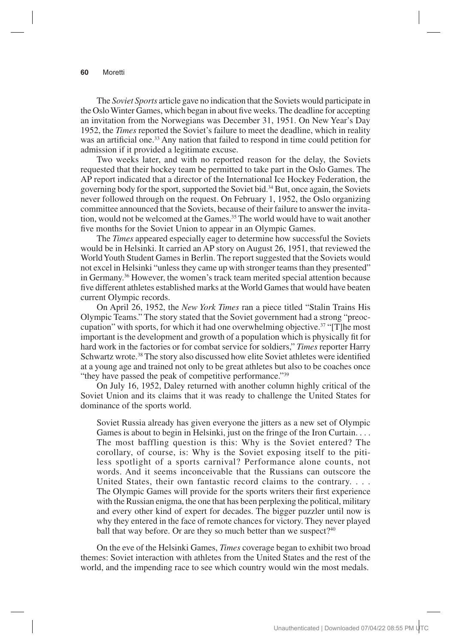The *Soviet Sports* article gave no indication that the Soviets would participate in the Oslo Winter Games, which began in about five weeks. The deadline for accepting an invitation from the Norwegians was December 31, 1951. On New Year's Day 1952, the *Times* reported the Soviet's failure to meet the deadline, which in reality was an artificial one.<sup>33</sup> Any nation that failed to respond in time could petition for admission if it provided a legitimate excuse.

Two weeks later, and with no reported reason for the delay, the Soviets requested that their hockey team be permitted to take part in the Oslo Games. The AP report indicated that a director of the International Ice Hockey Federation, the governing body for the sport, supported the Soviet bid.34 But, once again, the Soviets never followed through on the request. On February 1, 1952, the Oslo organizing committee announced that the Soviets, because of their failure to answer the invitation, would not be welcomed at the Games.<sup>35</sup> The world would have to wait another five months for the Soviet Union to appear in an Olympic Games.

The *Times* appeared especially eager to determine how successful the Soviets would be in Helsinki. It carried an AP story on August 26, 1951, that reviewed the World Youth Student Games in Berlin. The report suggested that the Soviets would not excel in Helsinki "unless they came up with stronger teams than they presented" in Germany.36 However, the women's track team merited special attention because five different athletes established marks at the World Games that would have beaten current Olympic records.

On April 26, 1952, the *New York Times* ran a piece titled "Stalin Trains His Olympic Teams." The story stated that the Soviet government had a strong "preoccupation" with sports, for which it had one overwhelming objective.<sup>37</sup> "[T]he most important is the development and growth of a population which is physically fit for hard work in the factories or for combat service for soldiers," *Times* reporter Harry Schwartz wrote.<sup>38</sup> The story also discussed how elite Soviet athletes were identified at a young age and trained not only to be great athletes but also to be coaches once "they have passed the peak of competitive performance."<sup>39</sup>

On July 16, 1952, Daley returned with another column highly critical of the Soviet Union and its claims that it was ready to challenge the United States for dominance of the sports world.

Soviet Russia already has given everyone the jitters as a new set of Olympic Games is about to begin in Helsinki, just on the fringe of the Iron Curtain. . . . The most baffling question is this: Why is the Soviet entered? The corollary, of course, is: Why is the Soviet exposing itself to the pitiless spotlight of a sports carnival? Performance alone counts, not words. And it seems inconceivable that the Russians can outscore the United States, their own fantastic record claims to the contrary. . . . The Olympic Games will provide for the sports writers their first experience with the Russian enigma, the one that has been perplexing the political, military and every other kind of expert for decades. The bigger puzzler until now is why they entered in the face of remote chances for victory. They never played ball that way before. Or are they so much better than we suspect?<sup>40</sup>

On the eve of the Helsinki Games, *Times* coverage began to exhibit two broad themes: Soviet interaction with athletes from the United States and the rest of the world, and the impending race to see which country would win the most medals.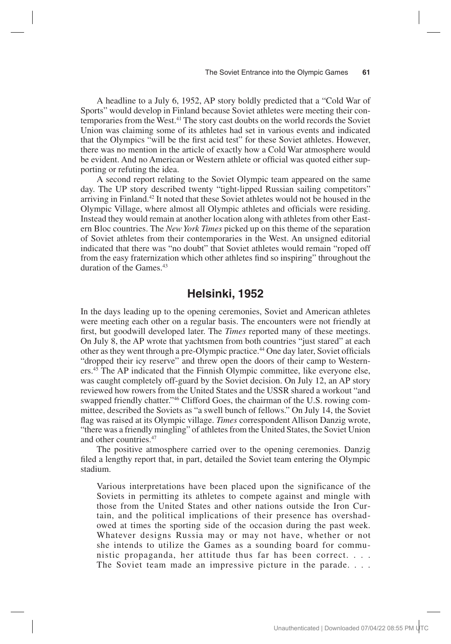A headline to a July 6, 1952, AP story boldly predicted that a "Cold War of Sports" would develop in Finland because Soviet athletes were meeting their contemporaries from the West.41 The story cast doubts on the world records the Soviet Union was claiming some of its athletes had set in various events and indicated that the Olympics "will be the first acid test" for these Soviet athletes. However, there was no mention in the article of exactly how a Cold War atmosphere would be evident. And no American or Western athlete or official was quoted either supporting or refuting the idea.

A second report relating to the Soviet Olympic team appeared on the same day. The UP story described twenty "tight-lipped Russian sailing competitors" arriving in Finland.42 It noted that these Soviet athletes would not be housed in the Olympic Village, where almost all Olympic athletes and officials were residing. Instead they would remain at another location along with athletes from other Eastern Bloc countries. The *New York Times* picked up on this theme of the separation of Soviet athletes from their contemporaries in the West. An unsigned editorial indicated that there was "no doubt" that Soviet athletes would remain "roped off from the easy fraternization which other athletes find so inspiring" throughout the duration of the Games.<sup>43</sup>

### **Helsinki, 1952**

In the days leading up to the opening ceremonies, Soviet and American athletes were meeting each other on a regular basis. The encounters were not friendly at first, but goodwill developed later. The *Times* reported many of these meetings. On July 8, the AP wrote that yachtsmen from both countries "just stared" at each other as they went through a pre-Olympic practice.<sup>44</sup> One day later, Soviet officials "dropped their icy reserve" and threw open the doors of their camp to Westerners.45 The AP indicated that the Finnish Olympic committee, like everyone else, was caught completely off-guard by the Soviet decision. On July 12, an AP story reviewed how rowers from the United States and the USSR shared a workout "and swapped friendly chatter."46 Clifford Goes, the chairman of the U.S. rowing committee, described the Soviets as "a swell bunch of fellows." On July 14, the Soviet flag was raised at its Olympic village. *Times* correspondent Allison Danzig wrote, "there was a friendly mingling" of athletes from the United States, the Soviet Union and other countries.47

The positive atmosphere carried over to the opening ceremonies. Danzig filed a lengthy report that, in part, detailed the Soviet team entering the Olympic stadium.

Various interpretations have been placed upon the significance of the Soviets in permitting its athletes to compete against and mingle with those from the United States and other nations outside the Iron Curtain, and the political implications of their presence has overshadowed at times the sporting side of the occasion during the past week. Whatever designs Russia may or may not have, whether or not she intends to utilize the Games as a sounding board for communistic propaganda, her attitude thus far has been correct. . . . The Soviet team made an impressive picture in the parade. . . .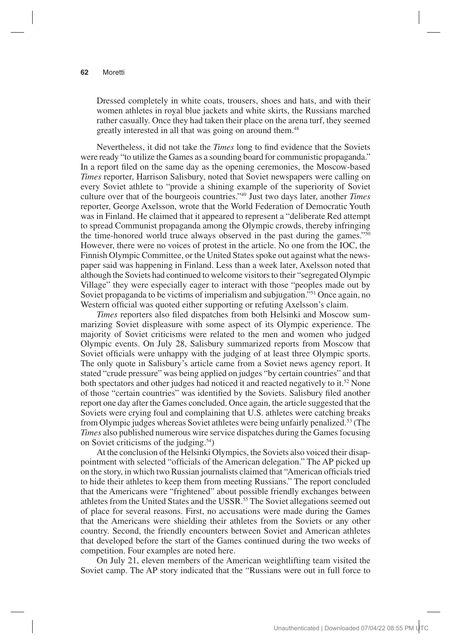Dressed completely in white coats, trousers, shoes and hats, and with their women athletes in royal blue jackets and white skirts, the Russians marched rather casually. Once they had taken their place on the arena turf, they seemed greatly interested in all that was going on around them.<sup>48</sup>

Nevertheless, it did not take the *Times* long to find evidence that the Soviets were ready "to utilize the Games as a sounding board for communistic propaganda." In a report filed on the same day as the opening ceremonies, the Moscow-based *Times* reporter, Harrison Salisbury, noted that Soviet newspapers were calling on every Soviet athlete to "provide a shining example of the superiority of Soviet culture over that of the bourgeois countries."49 Just two days later, another *Times*  reporter, George Axelsson, wrote that the World Federation of Democratic Youth was in Finland. He claimed that it appeared to represent a "deliberate Red attempt to spread Communist propaganda among the Olympic crowds, thereby infringing the time-honored world truce always observed in the past during the games."50 However, there were no voices of protest in the article. No one from the IOC, the Finnish Olympic Committee, or the United States spoke out against what the newspaper said was happening in Finland. Less than a week later, Axelsson noted that although the Soviets had continued to welcome visitors to their "segregated Olympic Village" they were especially eager to interact with those "peoples made out by Soviet propaganda to be victims of imperialism and subjugation."51 Once again, no Western official was quoted either supporting or refuting Axelsson's claim.

*Times* reporters also filed dispatches from both Helsinki and Moscow summarizing Soviet displeasure with some aspect of its Olympic experience. The majority of Soviet criticisms were related to the men and women who judged Olympic events. On July 28, Salisbury summarized reports from Moscow that Soviet officials were unhappy with the judging of at least three Olympic sports. The only quote in Salisbury's article came from a Soviet news agency report. It stated "crude pressure" was being applied on judges "by certain countries" and that both spectators and other judges had noticed it and reacted negatively to it.<sup>52</sup> None of those "certain countries" was identified by the Soviets. Salisbury filed another report one day after the Games concluded. Once again, the article suggested that the Soviets were crying foul and complaining that U.S. athletes were catching breaks from Olympic judges whereas Soviet athletes were being unfairly penalized.53 (The *Times* also published numerous wire service dispatches during the Games focusing on Soviet criticisms of the judging.54)

At the conclusion of the Helsinki Olympics, the Soviets also voiced their disappointment with selected "officials of the American delegation." The AP picked up on the story, in which two Russian journalists claimed that "American officials tried to hide their athletes to keep them from meeting Russians." The report concluded that the Americans were "frightened" about possible friendly exchanges between athletes from the United States and the USSR.<sup>55</sup> The Soviet allegations seemed out of place for several reasons. First, no accusations were made during the Games that the Americans were shielding their athletes from the Soviets or any other country. Second, the friendly encounters between Soviet and American athletes that developed before the start of the Games continued during the two weeks of competition. Four examples are noted here.

On July 21, eleven members of the American weightlifting team visited the Soviet camp. The AP story indicated that the "Russians were out in full force to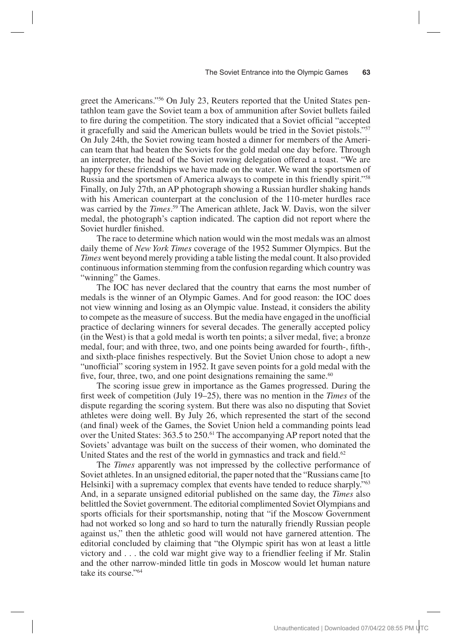greet the Americans."<sup>56</sup> On July 23, Reuters reported that the United States pentathlon team gave the Soviet team a box of ammunition after Soviet bullets failed to fire during the competition. The story indicated that a Soviet official "accepted it gracefully and said the American bullets would be tried in the Soviet pistols."57 On July 24th, the Soviet rowing team hosted a dinner for members of the American team that had beaten the Soviets for the gold medal one day before. Through an interpreter, the head of the Soviet rowing delegation offered a toast. "We are happy for these friendships we have made on the water. We want the sportsmen of Russia and the sportsmen of America always to compete in this friendly spirit."58 Finally, on July 27th, an AP photograph showing a Russian hurdler shaking hands with his American counterpart at the conclusion of the 110-meter hurdles race was carried by the *Times*. 59 The American athlete, Jack W. Davis, won the silver medal, the photograph's caption indicated. The caption did not report where the Soviet hurdler finished.

The race to determine which nation would win the most medals was an almost daily theme of *New York Times* coverage of the 1952 Summer Olympics. But the *Times* went beyond merely providing a table listing the medal count. It also provided continuous information stemming from the confusion regarding which country was "winning" the Games.

The IOC has never declared that the country that earns the most number of medals is the winner of an Olympic Games. And for good reason: the IOC does not view winning and losing as an Olympic value. Instead, it considers the ability to compete as the measure of success. But the media have engaged in the unofficial practice of declaring winners for several decades. The generally accepted policy (in the West) is that a gold medal is worth ten points; a silver medal, five; a bronze medal, four; and with three, two, and one points being awarded for fourth-, fifth-, and sixth-place finishes respectively. But the Soviet Union chose to adopt a new "unofficial" scoring system in 1952. It gave seven points for a gold medal with the five, four, three, two, and one point designations remaining the same. $60$ 

The scoring issue grew in importance as the Games progressed. During the first week of competition (July 19–25), there was no mention in the *Times* of the dispute regarding the scoring system. But there was also no disputing that Soviet athletes were doing well. By July 26, which represented the start of the second (and final) week of the Games, the Soviet Union held a commanding points lead over the United States: 363.5 to 250.<sup>61</sup> The accompanying AP report noted that the Soviets' advantage was built on the success of their women, who dominated the United States and the rest of the world in gymnastics and track and field.<sup>62</sup>

The *Times* apparently was not impressed by the collective performance of Soviet athletes. In an unsigned editorial, the paper noted that the "Russians came [to Helsinki] with a supremacy complex that events have tended to reduce sharply."<sup>63</sup> And, in a separate unsigned editorial published on the same day, the *Times* also belittled the Soviet government. The editorial complimented Soviet Olympians and sports officials for their sportsmanship, noting that "if the Moscow Government had not worked so long and so hard to turn the naturally friendly Russian people against us," then the athletic good will would not have garnered attention. The editorial concluded by claiming that "the Olympic spirit has won at least a little victory and . . . the cold war might give way to a friendlier feeling if Mr. Stalin and the other narrow-minded little tin gods in Moscow would let human nature take its course."64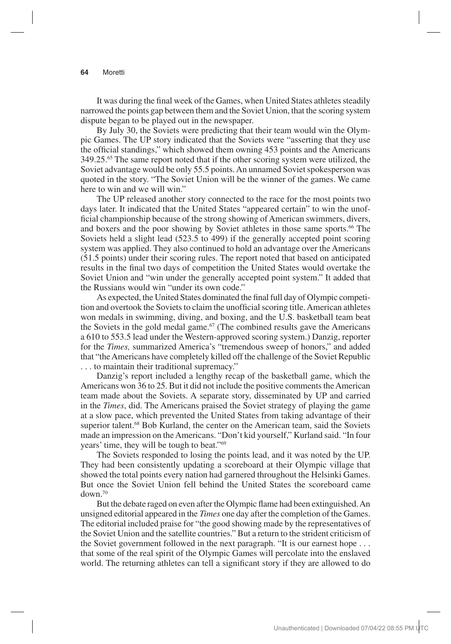It was during the final week of the Games, when United States athletes steadily narrowed the points gap between them and the Soviet Union, that the scoring system dispute began to be played out in the newspaper.

By July 30, the Soviets were predicting that their team would win the Olympic Games. The UP story indicated that the Soviets were "asserting that they use the official standings," which showed them owning 453 points and the Americans 349.25.65 The same report noted that if the other scoring system were utilized, the Soviet advantage would be only 55.5 points. An unnamed Soviet spokesperson was quoted in the story. "The Soviet Union will be the winner of the games. We came here to win and we will win."

The UP released another story connected to the race for the most points two days later. It indicated that the United States "appeared certain" to win the unofficial championship because of the strong showing of American swimmers, divers, and boxers and the poor showing by Soviet athletes in those same sports.<sup>66</sup> The Soviets held a slight lead (523.5 to 499) if the generally accepted point scoring system was applied. They also continued to hold an advantage over the Americans (51.5 points) under their scoring rules. The report noted that based on anticipated results in the final two days of competition the United States would overtake the Soviet Union and "win under the generally accepted point system." It added that the Russians would win "under its own code."

As expected, the United States dominated the final full day of Olympic competition and overtook the Soviets to claim the unofficial scoring title. American athletes won medals in swimming, diving, and boxing, and the U.S. basketball team beat the Soviets in the gold medal game. $67$  (The combined results gave the Americans a 610 to 553.5 lead under the Western-approved scoring system.) Danzig, reporter for the *Times,* summarized America's "tremendous sweep of honors," and added that "the Americans have completely killed off the challenge of the Soviet Republic . . . to maintain their traditional supremacy."

Danzig's report included a lengthy recap of the basketball game, which the Americans won 36 to 25. But it did not include the positive comments the American team made about the Soviets. A separate story, disseminated by UP and carried in the *Times*, did. The Americans praised the Soviet strategy of playing the game at a slow pace, which prevented the United States from taking advantage of their superior talent.<sup>68</sup> Bob Kurland, the center on the American team, said the Soviets made an impression on the Americans. "Don't kid yourself," Kurland said. "In four years' time, they will be tough to beat."69

The Soviets responded to losing the points lead, and it was noted by the UP. They had been consistently updating a scoreboard at their Olympic village that showed the total points every nation had garnered throughout the Helsinki Games. But once the Soviet Union fell behind the United States the scoreboard came down.70

But the debate raged on even after the Olympic flame had been extinguished. An unsigned editorial appeared in the *Times* one day after the completion of the Games. The editorial included praise for "the good showing made by the representatives of the Soviet Union and the satellite countries." But a return to the strident criticism of the Soviet government followed in the next paragraph. "It is our earnest hope . . . that some of the real spirit of the Olympic Games will percolate into the enslaved world. The returning athletes can tell a significant story if they are allowed to do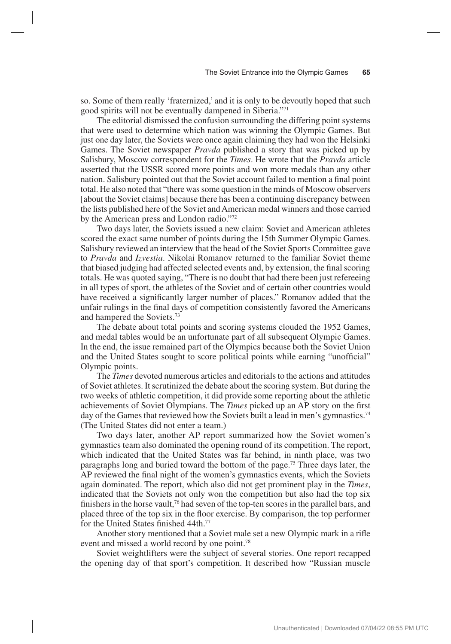so. Some of them really 'fraternized,' and it is only to be devoutly hoped that such good spirits will not be eventually dampened in Siberia."71

The editorial dismissed the confusion surrounding the differing point systems that were used to determine which nation was winning the Olympic Games. But just one day later, the Soviets were once again claiming they had won the Helsinki Games. The Soviet newspaper *Pravda* published a story that was picked up by Salisbury, Moscow correspondent for the *Times*. He wrote that the *Pravda* article asserted that the USSR scored more points and won more medals than any other nation. Salisbury pointed out that the Soviet account failed to mention a final point total. He also noted that "there was some question in the minds of Moscow observers [about the Soviet claims] because there has been a continuing discrepancy between the lists published here of the Soviet and American medal winners and those carried by the American press and London radio."72

Two days later, the Soviets issued a new claim: Soviet and American athletes scored the exact same number of points during the 15th Summer Olympic Games. Salisbury reviewed an interview that the head of the Soviet Sports Committee gave to *Pravda* and *Izvestia*. Nikolai Romanov returned to the familiar Soviet theme that biased judging had affected selected events and, by extension, the final scoring totals. He was quoted saying, "There is no doubt that had there been just refereeing in all types of sport, the athletes of the Soviet and of certain other countries would have received a significantly larger number of places." Romanov added that the unfair rulings in the final days of competition consistently favored the Americans and hampered the Soviets.73

The debate about total points and scoring systems clouded the 1952 Games, and medal tables would be an unfortunate part of all subsequent Olympic Games. In the end, the issue remained part of the Olympics because both the Soviet Union and the United States sought to score political points while earning "unofficial" Olympic points.

The *Times* devoted numerous articles and editorials to the actions and attitudes of Soviet athletes. It scrutinized the debate about the scoring system. But during the two weeks of athletic competition, it did provide some reporting about the athletic achievements of Soviet Olympians. The *Times* picked up an AP story on the first day of the Games that reviewed how the Soviets built a lead in men's gymnastics.74 (The United States did not enter a team.)

Two days later, another AP report summarized how the Soviet women's gymnastics team also dominated the opening round of its competition. The report, which indicated that the United States was far behind, in ninth place, was two paragraphs long and buried toward the bottom of the page.75 Three days later, the AP reviewed the final night of the women's gymnastics events, which the Soviets again dominated. The report, which also did not get prominent play in the *Times*, indicated that the Soviets not only won the competition but also had the top six finishers in the horse vault,<sup>76</sup> had seven of the top-ten scores in the parallel bars, and placed three of the top six in the floor exercise. By comparison, the top performer for the United States finished 44th.<sup>77</sup>

Another story mentioned that a Soviet male set a new Olympic mark in a rifle event and missed a world record by one point.<sup>78</sup>

Soviet weightlifters were the subject of several stories. One report recapped the opening day of that sport's competition. It described how "Russian muscle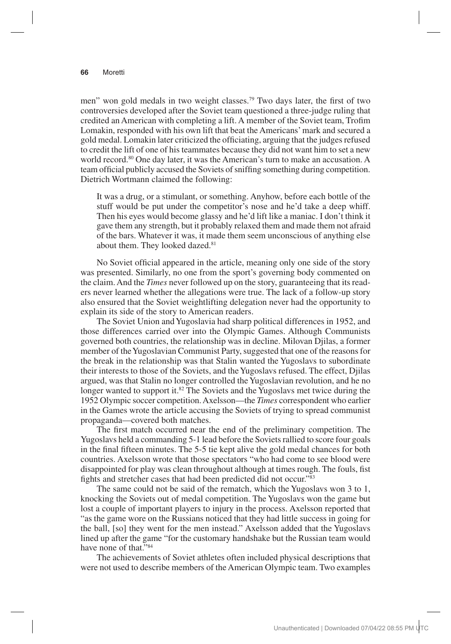men" won gold medals in two weight classes.<sup>79</sup> Two days later, the first of two controversies developed after the Soviet team questioned a three-judge ruling that credited an American with completing a lift. A member of the Soviet team, Trofim Lomakin, responded with his own lift that beat the Americans' mark and secured a gold medal. Lomakin later criticized the officiating, arguing that the judges refused to credit the lift of one of his teammates because they did not want him to set a new world record.<sup>80</sup> One day later, it was the American's turn to make an accusation. A team official publicly accused the Soviets of sniffing something during competition. Dietrich Wortmann claimed the following:

It was a drug, or a stimulant, or something. Anyhow, before each bottle of the stuff would be put under the competitor's nose and he'd take a deep whiff. Then his eyes would become glassy and he'd lift like a maniac. I don't think it gave them any strength, but it probably relaxed them and made them not afraid of the bars. Whatever it was, it made them seem unconscious of anything else about them. They looked dazed.<sup>81</sup>

No Soviet official appeared in the article, meaning only one side of the story was presented. Similarly, no one from the sport's governing body commented on the claim. And the *Times* never followed up on the story, guaranteeing that its readers never learned whether the allegations were true. The lack of a follow-up story also ensured that the Soviet weightlifting delegation never had the opportunity to explain its side of the story to American readers.

The Soviet Union and Yugoslavia had sharp political differences in 1952, and those differences carried over into the Olympic Games. Although Communists governed both countries, the relationship was in decline. Milovan Djilas, a former member of the Yugoslavian Communist Party, suggested that one of the reasons for the break in the relationship was that Stalin wanted the Yugoslavs to subordinate their interests to those of the Soviets, and the Yugoslavs refused. The effect, Djilas argued, was that Stalin no longer controlled the Yugoslavian revolution, and he no longer wanted to support it.<sup>82</sup> The Soviets and the Yugoslavs met twice during the 1952 Olympic soccer competition. Axelsson—the *Times* correspondent who earlier in the Games wrote the article accusing the Soviets of trying to spread communist propaganda—covered both matches.

The first match occurred near the end of the preliminary competition. The Yugoslavs held a commanding 5-1 lead before the Soviets rallied to score four goals in the final fifteen minutes. The 5-5 tie kept alive the gold medal chances for both countries. Axelsson wrote that those spectators "who had come to see blood were disappointed for play was clean throughout although at times rough. The fouls, fist fights and stretcher cases that had been predicted did not occur."83

The same could not be said of the rematch, which the Yugoslavs won 3 to 1, knocking the Soviets out of medal competition. The Yugoslavs won the game but lost a couple of important players to injury in the process. Axelsson reported that "as the game wore on the Russians noticed that they had little success in going for the ball, [so] they went for the men instead." Axelsson added that the Yugoslavs lined up after the game "for the customary handshake but the Russian team would have none of that."<sup>84</sup>

The achievements of Soviet athletes often included physical descriptions that were not used to describe members of the American Olympic team. Two examples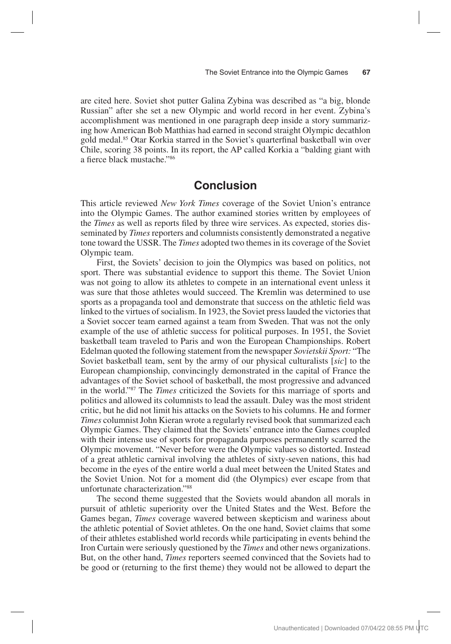are cited here. Soviet shot putter Galina Zybina was described as "a big, blonde Russian" after she set a new Olympic and world record in her event. Zybina's accomplishment was mentioned in one paragraph deep inside a story summarizing how American Bob Matthias had earned in second straight Olympic decathlon gold medal.85 Otar Korkia starred in the Soviet's quarterfinal basketball win over Chile, scoring 38 points. In its report, the AP called Korkia a "balding giant with a fierce black mustache."86

## **Conclusion**

This article reviewed *New York Times* coverage of the Soviet Union's entrance into the Olympic Games. The author examined stories written by employees of the *Times* as well as reports filed by three wire services. As expected, stories disseminated by *Times* reporters and columnists consistently demonstrated a negative tone toward the USSR. The *Times* adopted two themes in its coverage of the Soviet Olympic team.

First, the Soviets' decision to join the Olympics was based on politics, not sport. There was substantial evidence to support this theme. The Soviet Union was not going to allow its athletes to compete in an international event unless it was sure that those athletes would succeed. The Kremlin was determined to use sports as a propaganda tool and demonstrate that success on the athletic field was linked to the virtues of socialism. In 1923, the Soviet press lauded the victories that a Soviet soccer team earned against a team from Sweden. That was not the only example of the use of athletic success for political purposes. In 1951, the Soviet basketball team traveled to Paris and won the European Championships. Robert Edelman quoted the following statement from the newspaper *Sovietskii Sport:* "The Soviet basketball team, sent by the army of our physical culturalists [*sic*] to the European championship, convincingly demonstrated in the capital of France the advantages of the Soviet school of basketball, the most progressive and advanced in the world."87 The *Times* criticized the Soviets for this marriage of sports and politics and allowed its columnists to lead the assault. Daley was the most strident critic, but he did not limit his attacks on the Soviets to his columns. He and former *Times* columnist John Kieran wrote a regularly revised book that summarized each Olympic Games. They claimed that the Soviets' entrance into the Games coupled with their intense use of sports for propaganda purposes permanently scarred the Olympic movement. "Never before were the Olympic values so distorted. Instead of a great athletic carnival involving the athletes of sixty-seven nations, this had become in the eyes of the entire world a dual meet between the United States and the Soviet Union. Not for a moment did (the Olympics) ever escape from that unfortunate characterization."88

The second theme suggested that the Soviets would abandon all morals in pursuit of athletic superiority over the United States and the West. Before the Games began, *Times* coverage wavered between skepticism and wariness about the athletic potential of Soviet athletes. On the one hand, Soviet claims that some of their athletes established world records while participating in events behind the Iron Curtain were seriously questioned by the *Times* and other news organizations. But, on the other hand, *Times* reporters seemed convinced that the Soviets had to be good or (returning to the first theme) they would not be allowed to depart the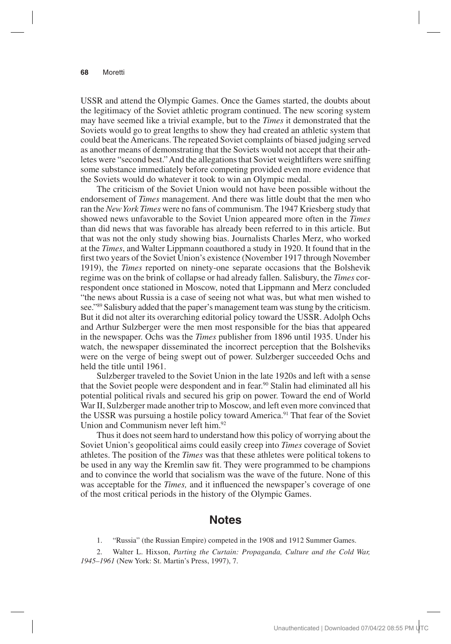USSR and attend the Olympic Games. Once the Games started, the doubts about the legitimacy of the Soviet athletic program continued. The new scoring system may have seemed like a trivial example, but to the *Times* it demonstrated that the Soviets would go to great lengths to show they had created an athletic system that could beat the Americans. The repeated Soviet complaints of biased judging served as another means of demonstrating that the Soviets would not accept that their athletes were "second best." And the allegations that Soviet weightlifters were sniffing some substance immediately before competing provided even more evidence that the Soviets would do whatever it took to win an Olympic medal.

The criticism of the Soviet Union would not have been possible without the endorsement of *Times* management. And there was little doubt that the men who ran the *New York Times* were no fans of communism. The 1947 Kriesberg study that showed news unfavorable to the Soviet Union appeared more often in the *Times* than did news that was favorable has already been referred to in this article. But that was not the only study showing bias. Journalists Charles Merz, who worked at the *Times*, and Walter Lippmann coauthored a study in 1920. It found that in the first two years of the Soviet Union's existence (November 1917 through November 1919), the *Times* reported on ninety-one separate occasions that the Bolshevik regime was on the brink of collapse or had already fallen. Salisbury, the *Times* correspondent once stationed in Moscow, noted that Lippmann and Merz concluded "the news about Russia is a case of seeing not what was, but what men wished to see."89 Salisbury added that the paper's management team was stung by the criticism. But it did not alter its overarching editorial policy toward the USSR. Adolph Ochs and Arthur Sulzberger were the men most responsible for the bias that appeared in the newspaper. Ochs was the *Times* publisher from 1896 until 1935. Under his watch, the newspaper disseminated the incorrect perception that the Bolsheviks were on the verge of being swept out of power. Sulzberger succeeded Ochs and held the title until 1961.

Sulzberger traveled to the Soviet Union in the late 1920s and left with a sense that the Soviet people were despondent and in fear.<sup>90</sup> Stalin had eliminated all his potential political rivals and secured his grip on power. Toward the end of World War II, Sulzberger made another trip to Moscow, and left even more convinced that the USSR was pursuing a hostile policy toward America.<sup>91</sup> That fear of the Soviet Union and Communism never left him.<sup>92</sup>

Thus it does not seem hard to understand how this policy of worrying about the Soviet Union's geopolitical aims could easily creep into *Times* coverage of Soviet athletes. The position of the *Times* was that these athletes were political tokens to be used in any way the Kremlin saw fit. They were programmed to be champions and to convince the world that socialism was the wave of the future. None of this was acceptable for the *Times,* and it influenced the newspaper's coverage of one of the most critical periods in the history of the Olympic Games.

### **Notes**

1. "Russia" (the Russian Empire) competed in the 1908 and 1912 Summer Games.

2. Walter L. Hixson, *Parting the Curtain: Propaganda, Culture and the Cold War, 1945–1961* (New York: St. Martin's Press, 1997), 7.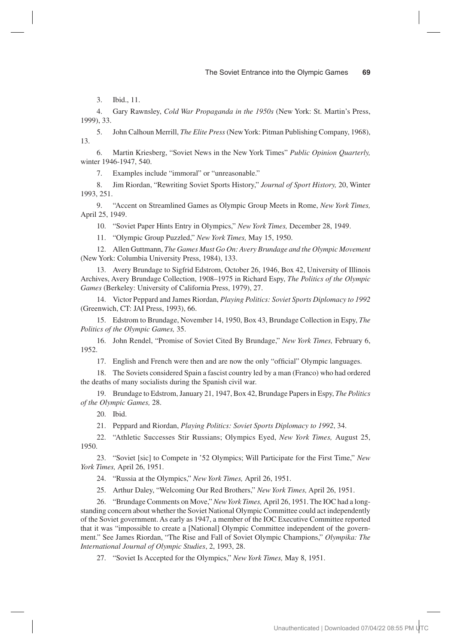3. Ibid., 11.

4. Gary Rawnsley, *Cold War Propaganda in the 1950s* (New York: St. Martin's Press, 1999), 33.

5. John Calhoun Merrill, *The Elite Press* (New York: Pitman Publishing Company, 1968), 13.

6. Martin Kriesberg, "Soviet News in the New York Times" *Public Opinion Quarterly,*  winter 1946-1947, 540.

7. Examples include "immoral" or "unreasonable."

8. Jim Riordan, "Rewriting Soviet Sports History," *Journal of Sport History,* 20, Winter 1993, 251.

9. "Accent on Streamlined Games as Olympic Group Meets in Rome, *New York Times,*  April 25, 1949.

10. "Soviet Paper Hints Entry in Olympics," *New York Times,* December 28, 1949.

11. "Olympic Group Puzzled," *New York Times,* May 15, 1950.

12. Allen Guttmann, *The Games Must Go On: Avery Brundage and the Olympic Movement*  (New York: Columbia University Press, 1984), 133.

13. Avery Brundage to Sigfrid Edstrom, October 26, 1946, Box 42, University of Illinois Archives, Avery Brundage Collection, 1908–1975 in Richard Espy, *The Politics of the Olympic Games* (Berkeley: University of California Press, 1979), 27.

14. Victor Peppard and James Riordan, *Playing Politics: Soviet Sports Diplomacy to 1992*  (Greenwich, CT: JAI Press, 1993), 66.

15. Edstrom to Brundage, November 14, 1950, Box 43, Brundage Collection in Espy, *The Politics of the Olympic Games,* 35.

16. John Rendel, "Promise of Soviet Cited By Brundage," *New York Times,* February 6, 1952.

17. English and French were then and are now the only "official" Olympic languages.

18. The Soviets considered Spain a fascist country led by a man (Franco) who had ordered the deaths of many socialists during the Spanish civil war.

19. Brundage to Edstrom, January 21, 1947, Box 42, Brundage Papers in Espy, *The Politics of the Olympic Games,* 28.

20. Ibid.

21. Peppard and Riordan, *Playing Politics: Soviet Sports Diplomacy to 1992*, 34.

22. "Athletic Successes Stir Russians; Olympics Eyed, *New York Times,* August 25, 1950.

23. "Soviet [sic] to Compete in '52 Olympics; Will Participate for the First Time," *New York Times,* April 26, 1951.

24. "Russia at the Olympics," *New York Times,* April 26, 1951.

25. Arthur Daley, "Welcoming Our Red Brothers," *New York Times,* April 26, 1951.

26. "Brundage Comments on Move," *New York Times,* April 26, 1951. The IOC had a longstanding concern about whether the Soviet National Olympic Committee could act independently of the Soviet government. As early as 1947, a member of the IOC Executive Committee reported that it was "impossible to create a [National] Olympic Committee independent of the government." See James Riordan, "The Rise and Fall of Soviet Olympic Champions," *Olympika: The International Journal of Olympic Studies*, 2, 1993, 28.

27. "Soviet Is Accepted for the Olympics," *New York Times,* May 8, 1951.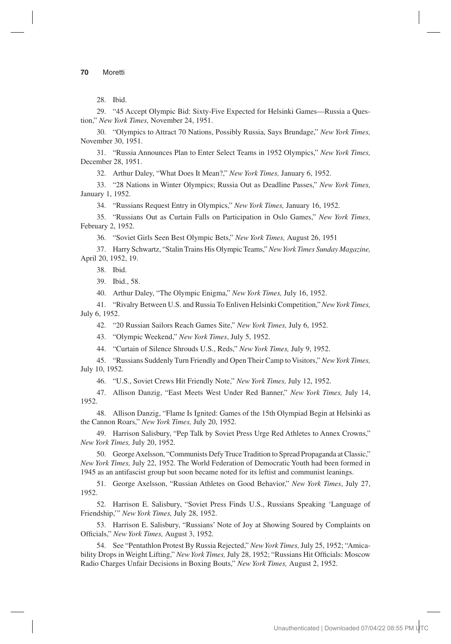28. Ibid.

29. "45 Accept Olympic Bid: Sixty-Five Expected for Helsinki Games—Russia a Question," *New York Times,* November 24, 1951.

30. "Olympics to Attract 70 Nations, Possibly Russia, Says Brundage," *New York Times,*  November 30, 1951.

31. "Russia Announces Plan to Enter Select Teams in 1952 Olympics," *New York Times,*  December 28, 1951.

32. Arthur Daley, "What Does It Mean?," *New York Times,* January 6, 1952.

33. "28 Nations in Winter Olympics; Russia Out as Deadline Passes," *New York Times,*  January 1, 1952.

34. "Russians Request Entry in Olympics," *New York Times,* January 16, 1952.

35. "Russians Out as Curtain Falls on Participation in Oslo Games," *New York Times,*  February 2, 1952.

36. "Soviet Girls Seen Best Olympic Bets," *New York Times,* August 26, 1951

37. Harry Schwartz, "Stalin Trains His Olympic Teams," *New York Times Sunday Magazine,*  April 20, 1952, 19.

38. Ibid.

39. Ibid., 58.

40. Arthur Daley, "The Olympic Enigma," *New York Times,* July 16, 1952.

41. "Rivalry Between U.S. and Russia To Enliven Helsinki Competition," *New York Times,*  July 6, 1952.

42. "20 Russian Sailors Reach Games Site," *New York Times,* July 6, 1952.

43. "Olympic Weekend," *New York Times*, July 5, 1952.

44. "Curtain of Silence Shrouds U.S., Reds," *New York Times,* July 9, 1952.

45. "Russians Suddenly Turn Friendly and Open Their Camp to Visitors," *New York Times,*  July 10, 1952.

46. "U.S., Soviet Crews Hit Friendly Note," *New York Times,* July 12, 1952.

47. Allison Danzig, "East Meets West Under Red Banner," *New York Times,* July 14, 1952.

48. Allison Danzig, "Flame Is Ignited: Games of the 15th Olympiad Begin at Helsinki as the Cannon Roars," *New York Times,* July 20, 1952.

49. Harrison Salisbury, "Pep Talk by Soviet Press Urge Red Athletes to Annex Crowns," *New York Times,* July 20, 1952.

50. George Axelsson, "Communists Defy Truce Tradition to Spread Propaganda at Classic," *New York Times,* July 22, 1952. The World Federation of Democratic Youth had been formed in 1945 as an antifascist group but soon became noted for its leftist and communist leanings.

51. George Axelsson, "Russian Athletes on Good Behavior," *New York Times*, July 27, 1952.

52. Harrison E. Salisbury, "Soviet Press Finds U.S., Russians Speaking 'Language of Friendship,'" *New York Times,* July 28, 1952.

53. Harrison E. Salisbury, "Russians' Note of Joy at Showing Soured by Complaints on Officials," *New York Times,* August 3, 1952.

54. See "Pentathlon Protest By Russia Rejected," *New York Times,* July 25, 1952; "Amicability Drops in Weight Lifting," *New York Times,* July 28, 1952; "Russians Hit Officials: Moscow Radio Charges Unfair Decisions in Boxing Bouts," *New York Times,* August 2, 1952.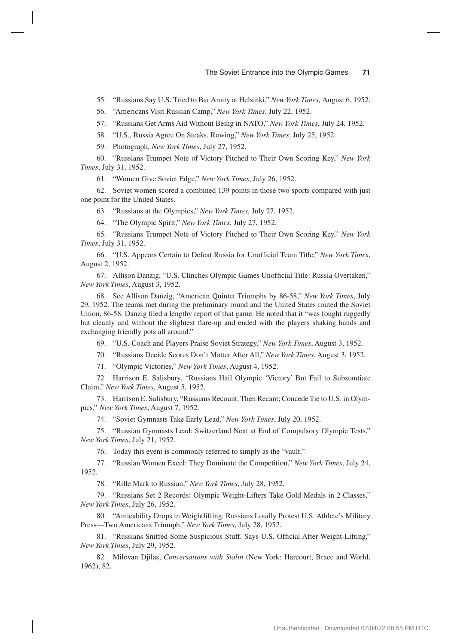55. "Russians Say U.S. Tried to Bar Amity at Helsinki," *New York Times,* August 6, 1952.

56. "Americans Visit Russian Camp," *New York Times*, July 22, 1952.

57. "Russians Get Arms Aid Without Being in NATO," *New York Times*, July 24, 1952.

58. "U.S., Russia Agree On Steaks, Rowing," *New York Times*, July 25, 1952.

59. Photograph, *New York Times*, July 27, 1952.

60. "Russians Trumpet Note of Victory Pitched to Their Own Scoring Key," *New York Times*, July 31, 1952.

61. "Women Give Soviet Edge," *New York Times*, July 26, 1952.

62. Soviet women scored a combined 139 points in those two sports compared with just one point for the United States.

63. "Russians at the Olympics," *New York Times*, July 27, 1952.

64. "The Olympic Spirit," *New York Times*, July 27, 1952.

65. "Russians Trumpet Note of Victory Pitched to Their Own Scoring Key," *New York Times*, July 31, 1952.

66. "U.S. Appears Certain to Defeat Russia for Unofficial Team Title," *New York Times*, August 2, 1952.

67. Allison Danzig, "U.S. Clinches Olympic Games Unofficial Title: Russia Overtaken," *New York Times*, August 3, 1952.

68. See Allison Danzig, "American Quintet Triumphs by 86-58," *New York Times*, July 29, 1952. The teams met during the preliminary round and the United States routed the Soviet Union, 86-58. Danzig filed a lengthy report of that game. He noted that it "was fought ruggedly but cleanly and without the slightest flare-up and ended with the players shaking hands and exchanging friendly pots all around."

69. "U.S. Coach and Players Praise Soviet Strategy," *New York Times*, August 3, 1952.

70. "Russians Decide Scores Don't Matter After All," *New York Times*, August 3, 1952.

71. "Olympic Victories," *New York Times*, August 4, 1952.

72. Harrison E. Salisbury, "Russians Hail Olympic 'Victory' But Fail to Substantiate Claim," *New York Times*, August 5, 1952.

73. Harrison E. Salisbury, "Russians Recount, Then Recant; Concede Tie to U.S. in Olympics," *New York Times*, August 7, 1952.

74. "Soviet Gymnasts Take Early Lead," *New York Times*, July 20, 1952.

75. "Russian Gymnasts Lead: Switzerland Next at End of Compulsory Olympic Tests," *New York Times*, July 21, 1952.

76. Today this event is commonly referred to simply as the "vault."

77. "Russian Women Excel: They Dominate the Competition," *New York Times*, July 24, 1952.

78. "Rifle Mark to Russian," *New York Times*, July 28, 1952.

79. "Russians Set 2 Records: Olympic Weight-Lifters Take Gold Medals in 2 Classes," *New York Times*, July 26, 1952.

80. "Amicability Drops in Weightlifting: Russians Loudly Protest U.S. Athlete's Military Press—Two Americans Triumph," *New York Times*, July 28, 1952.

81. "Russians Sniffed Some Suspicious Stuff, Says U.S. Official After Weight-Lifting," *New York Times*, July 29, 1952.

82. Milovan Djilas, *Conversations with Stalin* (New York: Harcourt, Brace and World, 1962), 82.